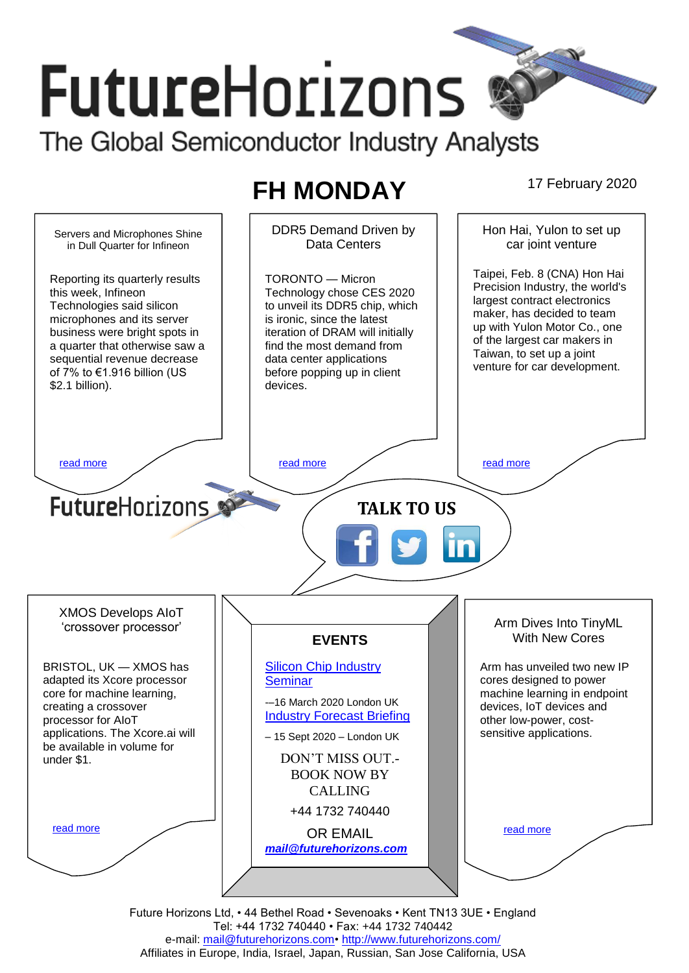# **FutureHorizons** The Global Semiconductor Industry Analysts

## **FH MONDAY** 17 February 2020

DDR5 Demand Driven by Hon Hai, Yulon to set up Servers and Microphones Shine Data Centers car joint venture in Dull Quarter for Infineon Taipei, Feb. 8 (CNA) Hon Hai TORONTO — Micron Reporting its quarterly results Precision Industry, the world's this week, Infineon Technology chose CES 2020 largest contract electronics Technologies said silicon to unveil its DDR5 chip, which maker, has decided to team microphones and its server is ironic, since the latest up with Yulon Motor Co., one business were bright spots in iteration of DRAM will initially of the largest car makers in a quarter that otherwise saw a find the most demand from Taiwan, to set up a joint sequential revenue decrease data center applications venture for car development. of 7% to €1.916 billion (US before popping up in client \$2.1 billion). devices. [read more](#page-1-1) that the second contract the second contract of the read more that the read more that the read more **Future**Horizons **TALK TO US** XMOS Develops AIoT Arm Dives Into TinyML 'crossover processor' With New Cores **EVENTS** BRISTOL, UK — XMOS has [Silicon Chip Industry](http://www.futurehorizons.com/page/12/silicon-chip-training)  Arm has unveiled two new IP adapted its Xcore processor **[Seminar](http://www.futurehorizons.com/page/12/silicon-chip-training)** cores designed to power machine learning in endpoint core for machine learning, -–16 March 2020 London UK creating a crossover devices, IoT devices and [Industry Forecast Briefing](http://www.futurehorizons.com/page/13/Semiconductor-Market-Forecast-Seminar) processor for AIoT other low-power, costapplications. The Xcore.ai will sensitive applications. – 15 Sept 2020 – London UK be available in volume for DON'T MISS OUT. under \$1.BOOK NOW BY CALLING +44 1732 740440 [read more](#page-1-3) [read more](#page-1-4) OR EMAIL *[mail@futurehorizons.com](mailto:mail@futurehorizons.com)*

> Future Horizons Ltd, • 44 Bethel Road • Sevenoaks • Kent TN13 3UE • England Tel: +44 1732 740440 • Fax: +44 1732 740442 e-mail: mail@futurehorizons.com• http://www.futurehorizons.com/ Affiliates in Europe, India, Israel, Japan, Russian, San Jose California, USA